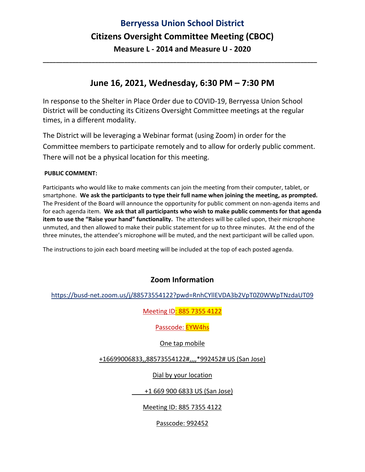# **Berryessa Union School District Citizens Oversight Committee Meeting (CBOC) Measure L ‐ 2014 and Measure U ‐ 2020**

### **June 16, 2021, Wednesday, 6:30 PM – 7:30 PM**

**\_\_\_\_\_\_\_\_\_\_\_\_\_\_\_\_\_\_\_\_\_\_\_\_\_\_\_\_\_\_\_\_\_\_\_\_\_\_\_\_\_\_\_\_\_\_\_\_\_\_\_\_\_\_\_\_\_\_\_\_\_\_\_\_\_\_\_\_\_\_\_\_\_\_\_\_\_\_\_\_\_\_\_\_**

In response to the Shelter in Place Order due to COVID‐19, Berryessa Union School District will be conducting its Citizens Oversight Committee meetings at the regular times, in a different modality.

The District will be leveraging a Webinar format (using Zoom) in order for the Committee members to participate remotely and to allow for orderly public comment. There will not be a physical location for this meeting.

#### **PUBLIC COMMENT:**

Participants who would like to make comments can join the meeting from their computer, tablet, or smartphone. **We ask the participants to type their full name when joining the meeting, as prompted.** The President of the Board will announce the opportunity for public comment on non‐agenda items and for each agenda item. **We ask that all participants who wish to make public comments for that agenda item to use the "Raise your hand" functionality.** The attendees will be called upon, their microphone unmuted, and then allowed to make their public statement for up to three minutes. At the end of the three minutes, the attendee's microphone will be muted, and the next participant will be called upon.

The instructions to join each board meeting will be included at the top of each posted agenda.

#### **Zoom Information**

https://busd‐net.zoom.us/j/88573554122?pwd=RnhCYllEVDA3b2VpT0Z0WWpTNzdaUT09

Meeting ID: 885 7355 4122

Passcode: EYW4hs

One tap mobile

+16699006833,,88573554122#,,,,\*992452# US (San Jose)

Dial by your location

+1 669 900 6833 US (San Jose)

Meeting ID: 885 7355 4122

Passcode: 992452